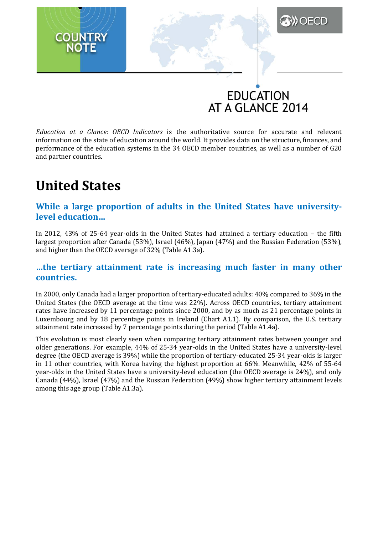# **EDUCATION** AT A GLANCE 2014

**DECD** 

*Education at a Glance: OECD Indicators* is the authoritative source for accurate and relevant information on the state of education around the world. It provides data on the structure, finances, and performance of the education systems in the 34 OECD member countries, as well as a number of G20 and partner countries.

# **United States**

**COUNTRY** 

# **While a large proportion of adults in the United States have universitylevel education…**

In 2012, 43% of 25-64 year-olds in the United States had attained a tertiary education – the fifth largest proportion after Canada (53%), Israel (46%), Japan (47%) and the Russian Federation (53%), and higher than the OECD average of 32% (Table A1.3a).

# **…the tertiary attainment rate is increasing much faster in many other countries.**

In 2000, only Canada had a larger proportion of tertiary-educated adults: 40% compared to 36% in the United States (the OECD average at the time was 22%). Across OECD countries, tertiary attainment rates have increased by 11 percentage points since 2000, and by as much as 21 percentage points in Luxembourg and by 18 percentage points in Ireland (Chart A1.1). By comparison, the U.S. tertiary attainment rate increased by 7 percentage points during the period (Table A1.4a).

This evolution is most clearly seen when comparing tertiary attainment rates between younger and older generations. For example, 44% of 25-34 year-olds in the United States have a university-level degree (the OECD average is 39%) while the proportion of tertiary-educated 25-34 year-olds is larger in 11 other countries, with Korea having the highest proportion at 66%. Meanwhile, 42% of 55-64 year-olds in the United States have a university-level education (the OECD average is 24%), and only Canada (44%), Israel (47%) and the Russian Federation (49%) show higher tertiary attainment levels among this age group (Table A1.3a).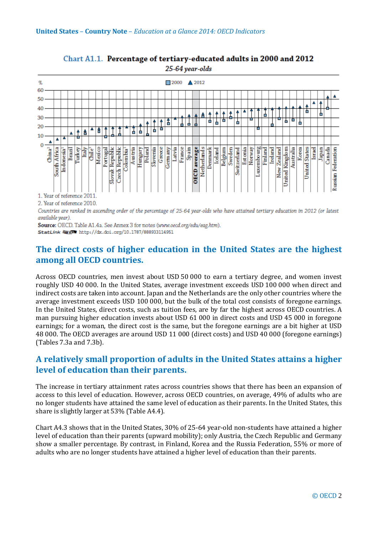

### Chart A1.1. Percentage of tertiary-educated adults in 2000 and 2012 25-64 year-olds

1. Year of reference 2011.

2. Year of reference 2010.

Countries are ranked in ascending order of the percentage of 25-64 year-olds who have attained tertiary education in 2012 (or latest available year).

Source: OECD. Table A1.4a. See Annex 3 for notes (www.oecd.org/edu/eag.htm). StatLink ##51 http://dx.doi.org/10.1787/888933114951

# **The direct costs of higher education in the United States are the highest among all OECD countries.**

Across OECD countries, men invest about USD 50 000 to earn a tertiary degree, and women invest roughly USD 40 000. In the United States, average investment exceeds USD 100 000 when direct and indirect costs are taken into account. Japan and the Netherlands are the only other countries where the average investment exceeds USD 100 000, but the bulk of the total cost consists of foregone earnings. In the United States, direct costs, such as tuition fees, are by far the highest across OECD countries. A man pursuing higher education invests about USD 61 000 in direct costs and USD 45 000 in foregone earnings; for a woman, the direct cost is the same, but the foregone earnings are a bit higher at USD 48 000. The OECD averages are around USD 11 000 (direct costs) and USD 40 000 (foregone earnings) (Tables 7.3a and 7.3b).

# **A relatively small proportion of adults in the United States attains a higher level of education than their parents.**

The increase in tertiary attainment rates across countries shows that there has been an expansion of access to this level of education. However, across OECD countries, on average, 49% of adults who are no longer students have attained the same level of education as their parents. In the United States, this share is slightly larger at 53% (Table A4.4).

Chart A4.3 shows that in the United States, 30% of 25-64 year-old non-students have attained a higher level of education than their parents (upward mobility); only Austria, the Czech Republic and Germany show a smaller percentage. By contrast, in Finland, Korea and the Russia Federation, 55% or more of adults who are no longer students have attained a higher level of education than their parents.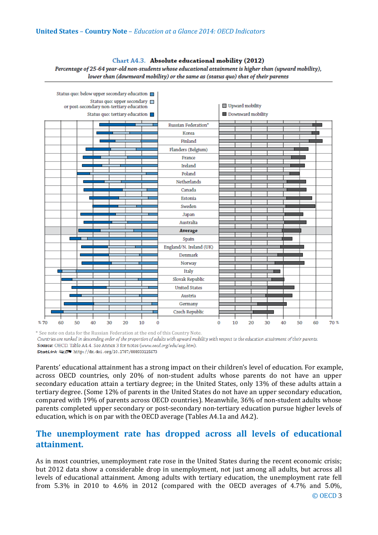### Chart A4.3. Absolute educational mobility (2012) Percentage of 25-64 year-old non-students whose educational attainment is higher than (upward mobility), lower than (downward mobility) or the same as (status quo) that of their parents



\* See note on data for the Russian Federation at the end of this Country Note.<br>Countries are ranked in descending order of the proportion of adults with upward mobility with respect to the education attainment of their par Source: OECD. Table A4.4. See Annex 3 for notes (www.oecd.org/edu/eag.htm). StatLink @ sp http://dx.doi.org/10.1787/888933115673

Parents' educational attainment has a strong impact on their children's level of education. For example, across OECD countries, only 20% of non-student adults whose parents do not have an upper secondary education attain a tertiary degree; in the United States, only 13% of these adults attain a tertiary degree. (Some 12% of parents in the United States do not have an upper secondary education, compared with 19% of parents across OECD countries). Meanwhile, 36% of non-student adults whose parents completed upper secondary or post-secondary non-tertiary education pursue higher levels of education, which is on par with the OECD average (Tables A4.1a and A4.2).

# **The unemployment rate has dropped across all levels of educational attainment.**

As in most countries, unemployment rate rose in the United States during the recent economic crisis; but 2012 data show a considerable drop in unemployment, not just among all adults, but across all levels of educational attainment. Among adults with tertiary education, the unemployment rate fell from 5.3% in 2010 to 4.6% in 2012 (compared with the OECD averages of 4.7% and 5.0%,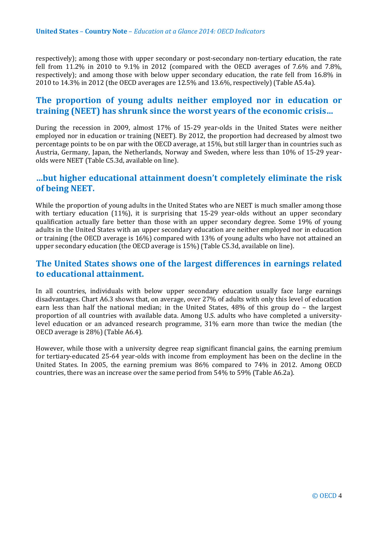respectively); among those with upper secondary or post-secondary non-tertiary education, the rate fell from 11.2% in 2010 to 9.1% in 2012 (compared with the OECD averages of 7.6% and 7.8%, respectively); and among those with below upper secondary education, the rate fell from 16.8% in 2010 to 14.3% in 2012 (the OECD averages are 12.5% and 13.6%, respectively) (Table A5.4a).

# **The proportion of young adults neither employed nor in education or training (NEET) has shrunk since the worst years of the economic crisis…**

During the recession in 2009, almost 17% of 15-29 year-olds in the United States were neither employed nor in education or training (NEET). By 2012, the proportion had decreased by almost two percentage points to be on par with the OECD average, at 15%, but still larger than in countries such as Austria, Germany, Japan, the Netherlands, Norway and Sweden, where less than 10% of 15-29 yearolds were NEET (Table C5.3d, available on line).

# **…but higher educational attainment doesn't completely eliminate the risk of being NEET.**

While the proportion of young adults in the United States who are NEET is much smaller among those with tertiary education (11%), it is surprising that 15-29 year-olds without an upper secondary qualification actually fare better than those with an upper secondary degree. Some 19% of young adults in the United States with an upper secondary education are neither employed nor in education or training (the OECD average is 16%) compared with 13% of young adults who have not attained an upper secondary education (the OECD average is 15%) (Table C5.3d, available on line).

# **The United States shows one of the largest differences in earnings related to educational attainment.**

In all countries, individuals with below upper secondary education usually face large earnings disadvantages. Chart A6.3 shows that, on average, over 27% of adults with only this level of education earn less than half the national median; in the United States, 48% of this group do – the largest proportion of all countries with available data. Among U.S. adults who have completed a universitylevel education or an advanced research programme, 31% earn more than twice the median (the OECD average is 28%) (Table A6.4).

However, while those with a university degree reap significant financial gains, the earning premium for tertiary-educated 25-64 year-olds with income from employment has been on the decline in the United States. In 2005, the earning premium was 86% compared to 74% in 2012. Among OECD countries, there was an increase over the same period from 54% to 59% (Table A6.2a).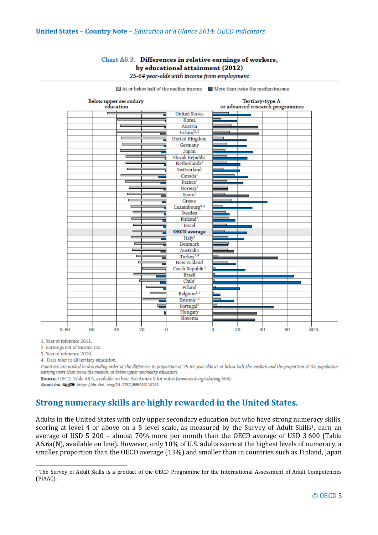## Chart A6.3. Differences in relative earnings of workers, by educational attainment (2012)

| Below upper secondary<br>education |                             | Tertiary-type A<br>or advanced research programmes |  |  |  |
|------------------------------------|-----------------------------|----------------------------------------------------|--|--|--|
|                                    | <b>United States</b>        |                                                    |  |  |  |
|                                    | Korea                       |                                                    |  |  |  |
|                                    | Austria                     |                                                    |  |  |  |
|                                    | Ireland <sup>1,2</sup>      |                                                    |  |  |  |
|                                    | <b>United Kingdom</b>       |                                                    |  |  |  |
|                                    | Germany                     |                                                    |  |  |  |
|                                    | Japan                       |                                                    |  |  |  |
|                                    | Slovak Republic             |                                                    |  |  |  |
|                                    | Netherlands <sup>3</sup>    |                                                    |  |  |  |
|                                    | Switzerland                 |                                                    |  |  |  |
|                                    | Canada <sup>1</sup>         |                                                    |  |  |  |
|                                    | France <sup>3</sup>         |                                                    |  |  |  |
|                                    | Norway <sup>1</sup>         |                                                    |  |  |  |
|                                    | Spani <sup>1</sup>          |                                                    |  |  |  |
|                                    | Greece                      |                                                    |  |  |  |
|                                    | Luxembourg <sup>3, 4</sup>  |                                                    |  |  |  |
| Е                                  | Sweden                      |                                                    |  |  |  |
|                                    | Finland <sup>1</sup>        |                                                    |  |  |  |
| п                                  | Israel                      |                                                    |  |  |  |
| Ē                                  | <b>OECD</b> average         |                                                    |  |  |  |
| ⊏                                  | Italy <sup>3</sup>          |                                                    |  |  |  |
| Е                                  | Denmark                     |                                                    |  |  |  |
| -                                  | Australia                   |                                                    |  |  |  |
|                                    | Turkey <sup>2, 4</sup>      |                                                    |  |  |  |
|                                    | New Zealand                 |                                                    |  |  |  |
|                                    | Czech Republic <sup>1</sup> |                                                    |  |  |  |
|                                    | <b>Brazil</b>               |                                                    |  |  |  |
|                                    | Chile <sup>1</sup>          |                                                    |  |  |  |
|                                    | Poland                      |                                                    |  |  |  |
|                                    | Belgium <sup>1,2</sup>      |                                                    |  |  |  |
|                                    | Estonia <sup>1,4</sup>      |                                                    |  |  |  |
| ⊏                                  | Portugal <sup>1</sup>       |                                                    |  |  |  |
|                                    | Hungary                     |                                                    |  |  |  |
|                                    | Slovenia                    |                                                    |  |  |  |

25-64 year-olds with income from employment

 $\Box$  At or below half of the median income  $\Box$  More than twice the median income

1. Year of reference 2011.

<u>.</u>

2. Earnings net of income tax.

3. Year of reference 2010.

4. Data refer to all tertiary education.

Countries are ranked in descending order of the difference in proportion of 25-64 year-olds at or below half the median and the proportion of the population earning more than twice the median, at below upper secondary education.

Source: OECD. Table A6.4, available on line. See Annex 3 for notes (www.oecd.org/edu/eag.htm).

StatLink Mise http://dx.doi.org/10.1787/888933116243

# **Strong numeracy skills are highly rewarded in the United States.**

Adults in the United States with only upper secondary education but who have strong numeracy skills, scoring at level 4 or above on a 5 level scale, as measured by the Survey of Adult Skills<sup>[1](#page-4-0)</sup>, earn an average of USD 5 200 – almost 70% more per month than the OECD average of USD 3 600 (Table A6.6a(N), available on line). However, only 10% of U.S. adults score at the highest levels of numeracy, a smaller proportion than the OECD average (13%) and smaller than in countries such as Finland, Japan

<span id="page-4-0"></span><sup>&</sup>lt;sup>1</sup> The Survey of Adult Skills is a product of the OECD Programme for the International Assessment of Adult Competencies (PIAAC).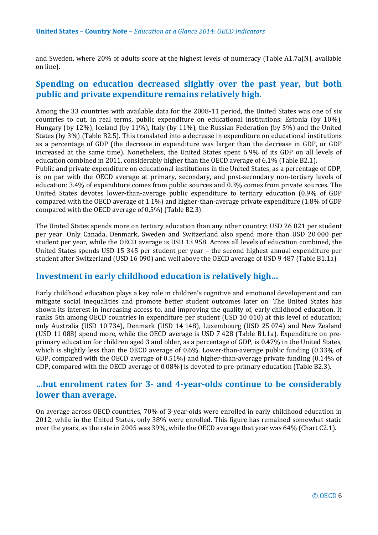and Sweden, where 20% of adults score at the highest levels of numeracy (Table A1.7a(N), available on line).

# **Spending on education decreased slightly over the past year, but both public and private expenditure remains relatively high.**

Among the 33 countries with available data for the 2008-11 period, the United States was one of six countries to cut, in real terms, public expenditure on educational institutions: Estonia (by 10%), Hungary (by 12%), Iceland (by 11%), Italy (by 11%), the Russian Federation (by 5%) and the United States (by 3%) (Table B2.5). This translated into a decrease in expenditure on educational institutions as a percentage of GDP (the decrease in expenditure was larger than the decrease in GDP, or GDP increased at the same time). Nonetheless, the United States spent 6.9% of its GDP on all levels of education combined in 2011, considerably higher than the OECD average of 6.1% (Table B2.1). Public and private expenditure on educational institutions in the United States, as a percentage of GDP, is on par with the OECD average at primary, secondary, and post-secondary non-tertiary levels of

education: 3.4% of expenditure comes from public sources and 0.3% comes from private sources. The United States devotes lower-than-average public expenditure to tertiary education (0.9% of GDP compared with the OECD average of 1.1%) and higher-than-average private expenditure (1.8% of GDP compared with the OECD average of 0.5%) (Table B2.3).

The United States spends more on tertiary education than any other country: USD 26 021 per student per year. Only Canada, Denmark, Sweden and Switzerland also spend more than USD 20 000 per student per year, while the OECD average is USD 13 958. Across all levels of education combined, the United States spends USD 15 345 per student per year – the second highest annual expenditure per student after Switzerland (USD 16 090) and well above the OECD average of USD 9 487 (Table B1.1a).

# **Investment in early childhood education is relatively high…**

Early childhood education plays a key role in children's cognitive and emotional development and can mitigate social inequalities and promote better student outcomes later on. The United States has shown its interest in increasing access to, and improving the quality of, early childhood education. It ranks 5th among OECD countries in expenditure per student (USD 10 010) at this level of education; only Australia (USD 10 734), Denmark (USD 14 148), Luxembourg (USD 25 074) and New Zealand (USD 11 088) spend more, while the OECD average is USD 7 428 (Table B1.1a). Expenditure on preprimary education for children aged 3 and older, as a percentage of GDP, is 0.47% in the United States, which is slightly less than the OECD average of 0.6%. Lower-than-average public funding (0.33% of GDP, compared with the OECD average of 0.51%) and higher-than-average private funding (0.14% of GDP, compared with the OECD average of 0.08%) is devoted to pre-primary education (Table B2.3).

# **…but enrolment rates for 3- and 4-year-olds continue to be considerably lower than average.**

On average across OECD countries, 70% of 3-year-olds were enrolled in early childhood education in 2012, while in the United States, only 38% were enrolled. This figure has remained somewhat static over the years, as the rate in 2005 was 39%, while the OECD average that year was 64% (Chart C2.1).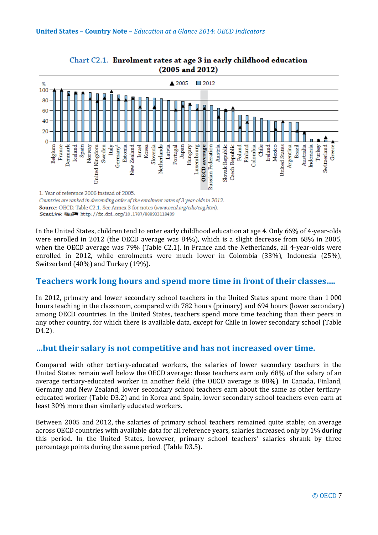

Chart C2.1. Enrolment rates at age 3 in early childhood education  $(2005$  and  $2012)$ 

Source: OECD. Table C2.1. See Annex 3 for notes (www.oecd.org/edu/eag.htm). StatLink @15/4 http://dx.doi.org/10.1787/888933118409

In the United States, children tend to enter early childhood education at age 4. Only 66% of 4-year-olds were enrolled in 2012 (the OECD average was 84%), which is a slight decrease from 68% in 2005, when the OECD average was 79% (Table C2.1). In France and the Netherlands, all 4-year-olds were enrolled in 2012, while enrolments were much lower in Colombia (33%), Indonesia (25%), Switzerland (40%) and Turkey (19%).

# **Teachers work long hours and spend more time in front of their classes….**

In 2012, primary and lower secondary school teachers in the United States spent more than 1 000 hours teaching in the classroom, compared with 782 hours (primary) and 694 hours (lower secondary) among OECD countries. In the United States, teachers spend more time teaching than their peers in any other country, for which there is available data, except for Chile in lower secondary school (Table D4.2).

# **…but their salary is not competitive and has not increased over time.**

Compared with other tertiary-educated workers, the salaries of lower secondary teachers in the United States remain well below the OECD average: these teachers earn only 68% of the salary of an average tertiary-educated worker in another field (the OECD average is 88%). In Canada, Finland, Germany and New Zealand, lower secondary school teachers earn about the same as other tertiaryeducated worker (Table D3.2) and in Korea and Spain, lower secondary school teachers even earn at least 30% more than similarly educated workers.

Between 2005 and 2012, the salaries of primary school teachers remained quite stable; on average across OECD countries with available data for all reference years, salaries increased only by 1% during this period. In the United States, however, primary school teachers' salaries shrank by three percentage points during the same period. (Table D3.5).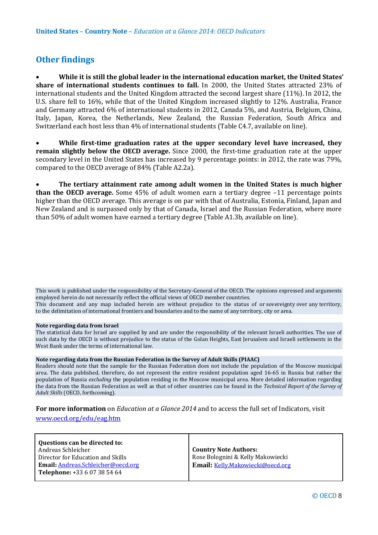# **Other findings**

• **While it is still the global leader in the international education market, the United States' share of international students continues to fall.** In 2000, the United States attracted 23% of international students and the United Kingdom attracted the second largest share (11%). In 2012, the U.S. share fell to 16%, while that of the United Kingdom increased slightly to 12%. Australia, France and Germany attracted 6% of international students in 2012, Canada 5%, and Austria, Belgium, China, Italy, Japan, Korea, the Netherlands, New Zealand, the Russian Federation, South Africa and Switzerland each host less than 4% of international students (Table C4.7, available on line).

• **While first-time graduation rates at the upper secondary level have increased, they remain slightly below the OECD average.** Since 2000, the first-time graduation rate at the upper secondary level in the United States has increased by 9 percentage points: in 2012, the rate was 79%, compared to the OECD average of 84% (Table A2.2a).

• **The tertiary attainment rate among adult women in the United States is much higher than the OECD average.** Some 45% of adult women earn a tertiary degree –11 percentage points higher than the OECD average. This average is on par with that of Australia, Estonia, Finland, Japan and New Zealand and is surpassed only by that of Canada, Israel and the Russian Federation, where more than 50% of adult women have earned a tertiary degree (Table A1.3b, available on line).

This work is published under the responsibility of the Secretary-General of the OECD. The opinions expressed and arguments employed herein do not necessarily reflect the official views of OECD member countries.

This document and any map included herein are without prejudice to the status of or sovereignty over any territory, to the delimitation of international frontiers and boundaries and to the name of any territory, city or area.

#### **Note regarding data from Israel**

The statistical data for Israel are supplied by and are under the responsibility of the relevant Israeli authorities. The use of such data by the OECD is without prejudice to the status of the Golan Heights, East Jerusalem and Israeli settlements in the West Bank under the terms of international law.

### **Note regarding data from the Russian Federation in the Survey of Adult Skills (PIAAC)**

Readers should note that the sample for the Russian Federation does not include the population of the Moscow municipal area. The data published, therefore, do not represent the entire resident population aged 16-65 in Russia but rather the population of Russia *excluding* the population residing in the Moscow municipal area. More detailed information regarding the data from the Russian Federation as well as that of other countries can be found in the *Technical Report of the Survey of Adult Skills* (OECD, forthcoming).

**For more information** on *Education at a Glance 2014* and to access the full set of Indicators, visit

### [www.oecd.org/edu/eag.htm](http://www.oecd.org/edu/eag.htm)

| Questions can be directed to:              |                                   |
|--------------------------------------------|-----------------------------------|
| Andreas Schleicher                         | <b>Country Note Authors:</b>      |
| Director for Education and Skills          | Rose Bolognini & Kelly Makowiecki |
| <b>Email:</b> Andreas. Schleicher@oecd.org | Email: Kelly.Makowiecki@oecd.org  |
| <b>Telephone:</b> +33 6 07 38 54 64        |                                   |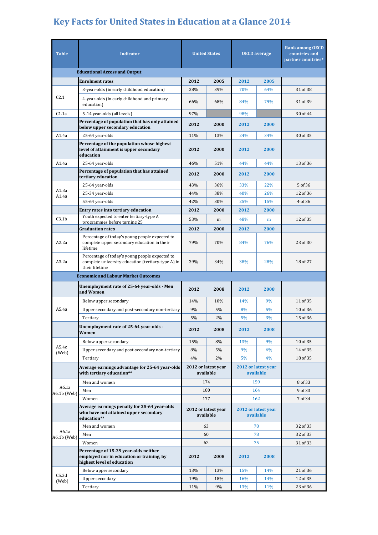# **Key Facts for United States in Education at a Glance 2014**

| <b>Table</b>                         | <b>Indicator</b>                                                                                                       | <b>United States</b>             |      | <b>OECD</b> average              |      | <b>Rank among OECD</b><br>countries and<br>partner countries* |
|--------------------------------------|------------------------------------------------------------------------------------------------------------------------|----------------------------------|------|----------------------------------|------|---------------------------------------------------------------|
| <b>Educational Access and Output</b> |                                                                                                                        |                                  |      |                                  |      |                                                               |
|                                      | <b>Enrolment rates</b>                                                                                                 | 2012                             | 2005 | 2012                             | 2005 |                                                               |
|                                      | 3-year-olds (in early childhood education)                                                                             | 38%                              | 39%  | 70%                              | 64%  | 31 of 38                                                      |
| C2.1                                 | 4-year-olds (in early childhood and primary<br>education)                                                              | 66%                              | 68%  | 84%                              | 79%  | 31 of 39                                                      |
| C1.1a                                | 5-14 year-olds (all levels)                                                                                            | 97%                              |      | 98%                              |      | 30 of 44                                                      |
|                                      | Percentage of population that has only attained<br>below upper secondary education                                     | 2012                             | 2000 | 2012                             | 2000 |                                                               |
| A1.4a                                | 25-64 year-olds                                                                                                        | 11%                              | 13%  | 24%                              | 34%  | 30 of 35                                                      |
|                                      | Percentage of the population whose highest<br>level of attainment is upper secondary<br>education                      | 2012                             | 2000 | 2012                             | 2000 |                                                               |
| A1.4a                                | 25-64 year-olds                                                                                                        | 46%                              | 51%  | 44%                              | 44%  | 13 of 36                                                      |
|                                      | Percentage of population that has attained<br>tertiary education                                                       | 2012                             | 2000 | 2012                             | 2000 |                                                               |
|                                      | 25-64 year-olds                                                                                                        | 43%                              | 36%  | 33%                              | 22%  | 5 of 36                                                       |
| A1.3a<br>A1.4a                       | 25-34 year-olds                                                                                                        | 44%                              | 38%  | 40%                              | 26%  | 12 of 36                                                      |
|                                      | 55-64 year-olds                                                                                                        | 42%                              | 30%  | 25%                              | 15%  | 4 of 36                                                       |
|                                      | Entry rates into tertiary education                                                                                    | 2012                             | 2000 | 2012                             | 2000 |                                                               |
| C3.1 <sub>b</sub>                    | Youth expected to enter tertiary-type A<br>programmes before turning 25                                                | 53%                              | m    | 48%                              | m    | 12 of 35                                                      |
|                                      | <b>Graduation rates</b>                                                                                                | 2012                             | 2000 | 2012                             | 2000 |                                                               |
| A2.2a                                | Percentage of today's young people expected to<br>complete upper secondary education in their<br>lifetime              | 79%                              | 70%  | 84%                              | 76%  | 23 of 30                                                      |
| A3.2a                                | Percentage of today's young people expected to<br>complete university education (tertiary-type A) in<br>their lifetime | 39%                              | 34%  | 38%                              | 28%  | 18 of 27                                                      |
|                                      | <b>Economic and Labour Market Outcomes</b>                                                                             |                                  |      |                                  |      |                                                               |
|                                      | Unemployment rate of 25-64 year-olds - Men<br>and Women                                                                | 2012                             | 2008 | 2012                             | 2008 |                                                               |
|                                      | Below upper secondary                                                                                                  | 14%                              | 10%  | 14%                              | 9%   | 11 of 35                                                      |
| A5.4a                                | Upper secondary and post-secondary non-tertiary                                                                        | 9%                               | 5%   | 8%                               | 5%   | 10 of 36                                                      |
|                                      | Tertiary                                                                                                               | $5\%$                            | 2%   | 5%                               | 3%   | 15 of 36                                                      |
|                                      | Unemployment rate of 25-64 year-olds -<br>Women                                                                        | 2012                             | 2008 | 2012                             | 2008 |                                                               |
|                                      | Below upper secondary                                                                                                  | 15%                              | 8%   | 13%                              | 9%   | 10 of 35                                                      |
| A5.4c<br>(Web)                       | Upper secondary and post-secondary non-tertiary                                                                        | 8%                               | 5%   | 9%                               | 6%   | 14 of 35                                                      |
|                                      | Tertiary                                                                                                               | $4\%$                            | 2%   | 5%                               | 4%   | 18 of 35                                                      |
|                                      | Average earnings advantage for 25-64 year-olds<br>with tertiary education**                                            | 2012 or latest year<br>available |      | 2012 or latest year<br>available |      |                                                               |
|                                      | Men and women                                                                                                          | 174                              |      | 159                              |      | 8 of 33                                                       |
| A6.1a<br>$A6.1b$ (Web)               | Men                                                                                                                    | 180                              |      | 164                              |      | 9 of 33                                                       |
|                                      | Women                                                                                                                  | 177                              |      | 162                              |      | 7 of 34                                                       |
|                                      | Average earnings penalty for 25-64 year-olds<br>who have not attained upper secondary<br>education**                   | 2012 or latest year<br>available |      | 2012 or latest year<br>available |      |                                                               |
| A6.1a<br>A6.1b (Web)                 | Men and women                                                                                                          | 63                               |      | 78                               |      | 32 of 33                                                      |
|                                      | Men                                                                                                                    | 60                               |      | 78                               |      | 32 of 33                                                      |
|                                      | Women                                                                                                                  | 62                               |      | 75                               |      | 31 of 33                                                      |
|                                      | Percentage of 15-29 year-olds neither<br>employed nor in education or training, by<br>highest level of education       | 2012                             | 2008 | 2012                             | 2008 |                                                               |
|                                      | Below upper secondary                                                                                                  | 13%                              | 13%  | 15%                              | 14%  | 21 of 36                                                      |
| C5.3d<br>(Web)                       | <b>Upper secondary</b>                                                                                                 | 19%                              | 18%  | 16%                              | 14%  | 12 of 35                                                      |
|                                      | Tertiary                                                                                                               | 11%                              | 9%   | 13%                              | 11%  | 23 of 36                                                      |